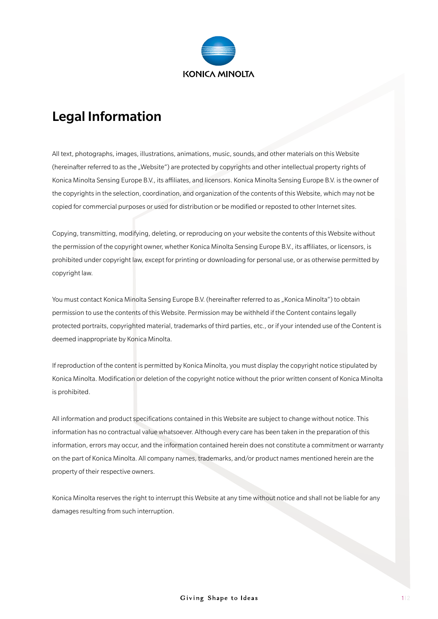

## Legal Information

All text, photographs, images, illustrations, animations, music, sounds, and other materials on this Website (hereinafter referred to as the "Website") are protected by copyrights and other intellectual property rights of Konica Minolta Sensing Europe B.V., its affiliates, and licensors. Konica Minolta Sensing Europe B.V. is the owner of the copyrights in the selection, coordination, and organization of the contents of this Website, which may not be copied for commercial purposes or used for distribution or be modified or reposted to other Internet sites.

Copying, transmitting, modifying, deleting, or reproducing on your website the contents of this Website without the permission of the copyright owner, whether Konica Minolta Sensing Europe B.V., its affiliates, or licensors, is prohibited under copyright law, except for printing or downloading for personal use, or as otherwise permitted by copyright law.

You must contact Konica Minolta Sensing Europe B.V. (hereinafter referred to as "Konica Minolta") to obtain permission to use the contents of this Website. Permission may be withheld if the Content contains legally protected portraits, copyrighted material, trademarks of third parties, etc., or if your intended use of the Content is deemed inappropriate by Konica Minolta.

If reproduction of the content is permitted by Konica Minolta, you must display the copyright notice stipulated by Konica Minolta. Modification or deletion of the copyright notice without the prior written consent of Konica Minolta is prohibited.

All information and product specifications contained in this Website are subject to change without notice. This information has no contractual value whatsoever. Although every care has been taken in the preparation of this information, errors may occur, and the information contained herein does not constitute a commitment or warranty on the part of Konica Minolta. All company names, trademarks, and/or product names mentioned herein are the property of their respective owners.

Konica Minolta reserves the right to interrupt this Website at any time without notice and shall not be liable for any damages resulting from such interruption.